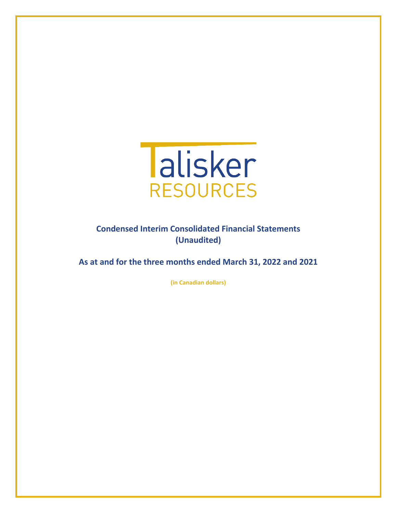

**Condensed Interim Consolidated Financial Statements (Unaudited)**

**As at and for the three months ended March 31, 2022 and 2021**

**(in Canadian dollars)**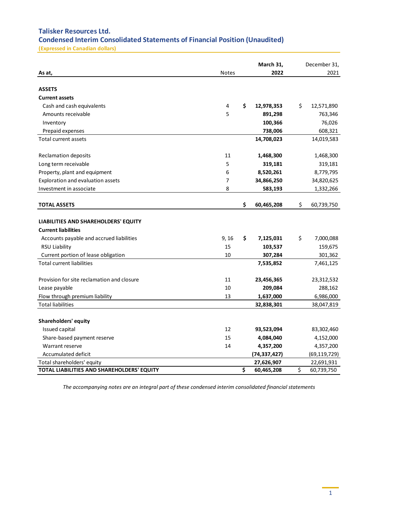# **Talisker Resources Ltd. Condensed Interim Consolidated Statements of Financial Position (Unaudited)**

**(Expressed in Canadian dollars)**

|                                            |              | March 31,        | December 31,     |
|--------------------------------------------|--------------|------------------|------------------|
| As at,                                     | <b>Notes</b> | 2022             | 2021             |
|                                            |              |                  |                  |
| <b>ASSETS</b>                              |              |                  |                  |
| <b>Current assets</b>                      |              |                  |                  |
| Cash and cash equivalents                  | 4            | \$<br>12,978,353 | \$<br>12,571,890 |
| Amounts receivable                         | 5            | 891,298          | 763,346          |
| Inventory                                  |              | 100,366          | 76,026           |
| Prepaid expenses                           |              | 738,006          | 608,321          |
| Total current assets                       |              | 14,708,023       | 14,019,583       |
| Reclamation deposits                       | 11           | 1,468,300        | 1,468,300        |
| Long term receivable                       | 5            | 319,181          | 319,181          |
| Property, plant and equipment              | 6            | 8,520,261        | 8,779,795        |
| Exploration and evaluation assets          | 7            | 34,866,250       | 34,820,625       |
| Investment in associate                    | 8            | 583,193          | 1,332,266        |
|                                            |              |                  |                  |
| <b>TOTAL ASSETS</b>                        |              | \$<br>60,465,208 | \$<br>60,739,750 |
| LIABILITIES AND SHAREHOLDERS' EQUITY       |              |                  |                  |
| <b>Current liabilities</b>                 |              |                  |                  |
| Accounts payable and accrued liabilities   | 9, 16        | \$<br>7,125,031  | \$<br>7,000,088  |
| <b>RSU Liability</b>                       | 15           | 103,537          | 159,675          |
| Current portion of lease obligation        | 10           | 307,284          | 301,362          |
| <b>Total current liabilities</b>           |              | 7,535,852        | 7,461,125        |
|                                            |              |                  |                  |
| Provision for site reclamation and closure | 11           | 23,456,365       | 23,312,532       |
| Lease payable                              | 10           | 209,084          | 288,162          |
| Flow through premium liability             | 13           | 1,637,000        | 6,986,000        |
| <b>Total liabilities</b>                   |              | 32,838,301       | 38,047,819       |
|                                            |              |                  |                  |
| <b>Shareholders' equity</b>                |              |                  |                  |
| Issued capital                             | 12           | 93,523,094       | 83,302,460       |
| Share-based payment reserve                | 15           | 4,084,040        | 4,152,000        |
| <b>Warrant reserve</b>                     | 14           | 4,357,200        | 4,357,200        |
| Accumulated deficit                        |              | (74, 337, 427)   | (69, 119, 729)   |
| Total shareholders' equity                 |              | 27,626,907       | 22,691,931       |
| TOTAL LIABILITIES AND SHAREHOLDERS' EQUITY |              | \$<br>60,465,208 | \$<br>60,739,750 |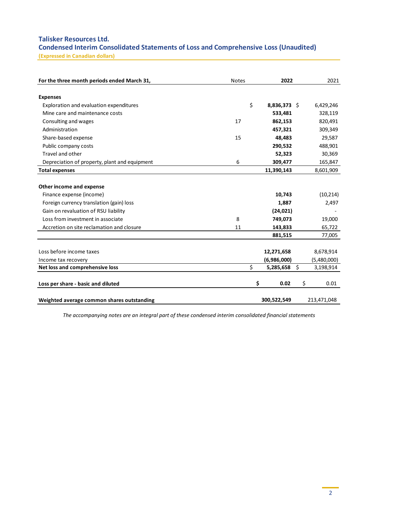# **Talisker Resources Ltd. Condensed Interim Consolidated Statements of Loss and Comprehensive Loss (Unaudited)**

**(Expressed in Canadian dollars)**

| For the three month periods ended March 31,   | <b>Notes</b> | 2022 |              |    | 2021        |
|-----------------------------------------------|--------------|------|--------------|----|-------------|
| <b>Expenses</b>                               |              |      |              |    |             |
| Exploration and evaluation expenditures       |              | \$   | 8,836,373 \$ |    | 6,429,246   |
| Mine care and maintenance costs               |              |      | 533,481      |    | 328,119     |
| Consulting and wages                          | 17           |      | 862,153      |    | 820,491     |
| Administration                                |              |      | 457,321      |    | 309,349     |
| Share-based expense                           | 15           |      | 48,483       |    | 29,587      |
| Public company costs                          |              |      | 290,532      |    | 488,901     |
| Travel and other                              |              |      | 52,323       |    | 30,369      |
| Depreciation of property, plant and equipment | 6            |      | 309,477      |    | 165,847     |
| <b>Total expenses</b>                         |              |      | 11,390,143   |    | 8,601,909   |
|                                               |              |      |              |    |             |
| Other income and expense                      |              |      |              |    |             |
| Finance expense (income)                      |              |      | 10,743       |    | (10, 214)   |
| Foreign currency translation (gain) loss      |              |      | 1,887        |    | 2,497       |
| Gain on revaluation of RSU liability          |              |      | (24, 021)    |    |             |
| Loss from investment in associate             | 8            |      | 749,073      |    | 19,000      |
| Accretion on site reclamation and closure     | 11           |      | 143,833      |    | 65,722      |
|                                               |              |      | 881,515      |    | 77,005      |
|                                               |              |      |              |    |             |
| Loss before income taxes                      |              |      | 12,271,658   |    | 8,678,914   |
| Income tax recovery                           |              |      | (6,986,000)  |    | (5,480,000) |
| Net loss and comprehensive loss               |              | \$   | 5,285,658    | \$ | 3,198,914   |
| Loss per share - basic and diluted            |              | \$   | 0.02         |    | \$<br>0.01  |
| Weighted average common shares outstanding    |              |      | 300,522,549  |    | 213,471,048 |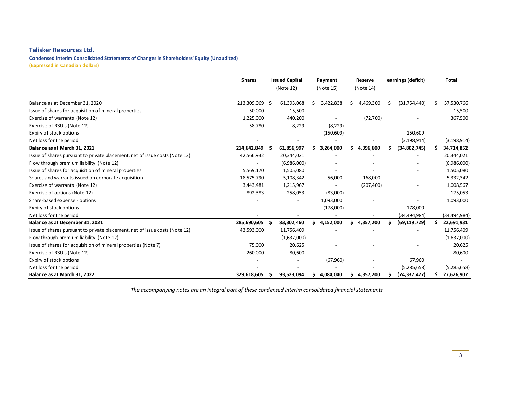### **Talisker Resources Ltd.**

**Condensed Interim Consolidated Statements of Changes in Shareholders' Equity (Unaudited) (Expressed in Canadian dollars)**

|                                                                             | <b>Shares</b>  |    | <b>Issued Capital</b> |   | Payment    | Reserve |            |   | earnings (deficit) | Total          |
|-----------------------------------------------------------------------------|----------------|----|-----------------------|---|------------|---------|------------|---|--------------------|----------------|
|                                                                             |                |    | (Note 12)             |   | (Note 15)  |         | (Note 14)  |   |                    |                |
| Balance as at December 31, 2020                                             | 213,309,069 \$ |    | 61,393,068            | Ś | 3,422,838  |         | 4,469,300  | S | (31,754,440)       | 37,530,766     |
| Issue of shares for acquisition of mineral properties                       | 50,000         |    | 15,500                |   |            |         |            |   |                    | 15,500         |
| Exercise of warrants (Note 12)                                              | 1,225,000      |    | 440,200               |   |            |         | (72,700)   |   |                    | 367,500        |
| Exercise of RSU's (Note 12)                                                 | 58,780         |    | 8,229                 |   | (8, 229)   |         |            |   |                    |                |
| Expiry of stock options                                                     |                |    |                       |   | (150, 609) |         |            |   | 150,609            |                |
| Net loss for the period                                                     |                |    |                       |   |            |         |            |   | (3, 198, 914)      | (3, 198, 914)  |
| Balance as at March 31, 2021                                                | 214,642,849    |    | 61,856,997            |   | 3,264,000  |         | 4,396,600  |   | (34,802,745)       | 34,714,852     |
| Issue of shares pursuant to private placement, net of issue costs (Note 12) | 42,566,932     |    | 20,344,021            |   |            |         |            |   |                    | 20,344,021     |
| Flow through premium liability (Note 12)                                    |                |    | (6,986,000)           |   |            |         |            |   |                    | (6,986,000)    |
| Issue of shares for acquisition of mineral properties                       | 5,569,170      |    | 1,505,080             |   |            |         |            |   |                    | 1,505,080      |
| Shares and warrants issued on corporate acquisition                         | 18,575,790     |    | 5,108,342             |   | 56,000     |         | 168,000    |   |                    | 5,332,342      |
| Exercise of warrants (Note 12)                                              | 3,443,481      |    | 1,215,967             |   |            |         | (207, 400) |   |                    | 1,008,567      |
| Exercise of options (Note 12)                                               | 892,383        |    | 258,053               |   | (83,000)   |         |            |   |                    | 175,053        |
| Share-based expense - options                                               |                |    |                       |   | 1,093,000  |         |            |   |                    | 1,093,000      |
| Expiry of stock options                                                     |                |    |                       |   | (178,000)  |         |            |   | 178,000            |                |
| Net loss for the period                                                     |                |    |                       |   |            |         |            |   | (34, 494, 984)     | (34, 494, 984) |
| Balance as at December 31, 2021                                             | 285,690,605    | -S | 83,302,460            |   | 4,152,000  |         | 4,357,200  |   | (69, 119, 729)     | 22,691,931     |
| Issue of shares pursuant to private placement, net of issue costs (Note 12) | 43,593,000     |    | 11,756,409            |   |            |         |            |   |                    | 11,756,409     |
| Flow through premium liability (Note 12)                                    |                |    | (1,637,000)           |   |            |         |            |   |                    | (1,637,000)    |
| Issue of shares for acquisition of mineral properties (Note 7)              | 75,000         |    | 20,625                |   |            |         |            |   |                    | 20,625         |
| Exercise of RSU's (Note 12)                                                 | 260,000        |    | 80,600                |   |            |         |            |   |                    | 80,600         |
| Expiry of stock options                                                     |                |    |                       |   | (67, 960)  |         |            |   | 67,960             |                |
| Net loss for the period                                                     |                |    |                       |   |            |         |            |   | (5,285,658)        | (5,285,658)    |
| Balance as at March 31, 2022                                                | 329,618,605    |    | 93,523,094            |   | 4,084,040  | Ś       | 4,357,200  |   | (74, 337, 427)     | 27,626,907     |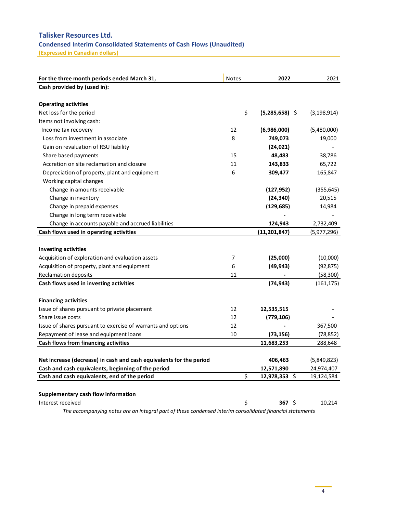## **Talisker Resources Ltd.**

# **Condensed Interim Consolidated Statements of Cash Flows (Unaudited)**

**(Expressed in Canadian dollars)**

| For the three month periods ended March 31,                         | <b>Notes</b> | 2022             | 2021          |
|---------------------------------------------------------------------|--------------|------------------|---------------|
| Cash provided by (used in):                                         |              |                  |               |
|                                                                     |              |                  |               |
| <b>Operating activities</b>                                         |              |                  |               |
| Net loss for the period                                             | \$           | $(5,285,658)$ \$ | (3, 198, 914) |
| Items not involving cash:                                           |              |                  |               |
| Income tax recovery                                                 | 12           | (6,986,000)      | (5,480,000)   |
| Loss from investment in associate                                   | 8            | 749,073          | 19,000        |
| Gain on revaluation of RSU liability                                |              | (24, 021)        |               |
| Share based payments                                                | 15           | 48,483           | 38,786        |
| Accretion on site reclamation and closure                           | 11           | 143,833          | 65,722        |
| Depreciation of property, plant and equipment                       | 6            | 309,477          | 165,847       |
| Working capital changes                                             |              |                  |               |
| Change in amounts receivable                                        |              | (127, 952)       | (355, 645)    |
| Change in inventory                                                 |              | (24, 340)        | 20,515        |
| Change in prepaid expenses                                          |              | (129, 685)       | 14,984        |
| Change in long term receivable                                      |              |                  |               |
| Change in accounts payable and accrued liabilities                  |              | 124,943          | 2,732,409     |
| Cash flows used in operating activities                             |              | (11, 201, 847)   | (5,977,296)   |
|                                                                     |              |                  |               |
| <b>Investing activities</b>                                         |              |                  |               |
| Acquisition of exploration and evaluation assets                    | 7            | (25,000)         | (10,000)      |
| Acquisition of property, plant and equipment                        | 6            | (49, 943)        | (92, 875)     |
| <b>Reclamation deposits</b>                                         | 11           |                  | (58, 300)     |
| Cash flows used in investing activities                             |              | (74, 943)        | (161, 175)    |
|                                                                     |              |                  |               |
| <b>Financing activities</b>                                         |              |                  |               |
| Issue of shares pursuant to private placement                       | 12           | 12,535,515       |               |
| Share issue costs                                                   | 12           | (779, 106)       |               |
| Issue of shares pursuant to exercise of warrants and options        | 12           |                  | 367,500       |
| Repayment of lease and equipment loans                              | 10           | (73, 156)        | (78, 852)     |
| Cash flows from financing activities                                |              | 11,683,253       | 288,648       |
|                                                                     |              |                  |               |
| Net increase (decrease) in cash and cash equivalents for the period |              | 406,463          | (5,849,823)   |
| Cash and cash equivalents, beginning of the period                  |              | 12,571,890       | 24,974,407    |
| Cash and cash equivalents, end of the period                        | \$           | 12,978,353 \$    | 19,124,584    |
|                                                                     |              |                  |               |
| Supplementary cash flow information                                 |              |                  |               |
| Interest received                                                   | \$           | 367 \$           | 10,214        |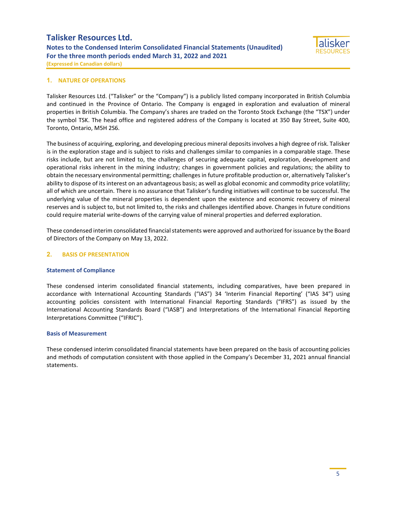

**1. NATURE OF OPERATIONS**

Talisker Resources Ltd. ("Talisker" or the "Company") is a publicly listed company incorporated in British Columbia and continued in the Province of Ontario. The Company is engaged in exploration and evaluation of mineral properties in British Columbia. The Company's shares are traded on the Toronto Stock Exchange (the "TSX") under the symbol TSK. The head office and registered address of the Company is located at 350 Bay Street, Suite 400, Toronto, Ontario, M5H 2S6.

The business of acquiring, exploring, and developing precious mineral deposits involves a high degree of risk. Talisker is in the exploration stage and is subject to risks and challenges similar to companies in a comparable stage. These risks include, but are not limited to, the challenges of securing adequate capital, exploration, development and operational risks inherent in the mining industry; changes in government policies and regulations; the ability to obtain the necessary environmental permitting; challenges in future profitable production or, alternatively Talisker's ability to dispose of its interest on an advantageous basis; as well as global economic and commodity price volatility; all of which are uncertain. There is no assurance that Talisker's funding initiatives will continue to be successful. The underlying value of the mineral properties is dependent upon the existence and economic recovery of mineral reserves and is subject to, but not limited to, the risks and challenges identified above. Changes in future conditions could require material write-downs of the carrying value of mineral properties and deferred exploration.

These condensed interim consolidated financial statements were approved and authorized for issuance by the Board of Directors of the Company on May 13, 2022.

### **2. BASIS OF PRESENTATION**

#### **Statement of Compliance**

These condensed interim consolidated financial statements, including comparatives, have been prepared in accordance with International Accounting Standards ("IAS") 34 'Interim Financial Reporting' ("IAS 34") using accounting policies consistent with International Financial Reporting Standards ("IFRS") as issued by the International Accounting Standards Board ("IASB") and Interpretations of the International Financial Reporting Interpretations Committee ("IFRIC").

#### **Basis of Measurement**

These condensed interim consolidated financial statements have been prepared on the basis of accounting policies and methods of computation consistent with those applied in the Company's December 31, 2021 annual financial statements.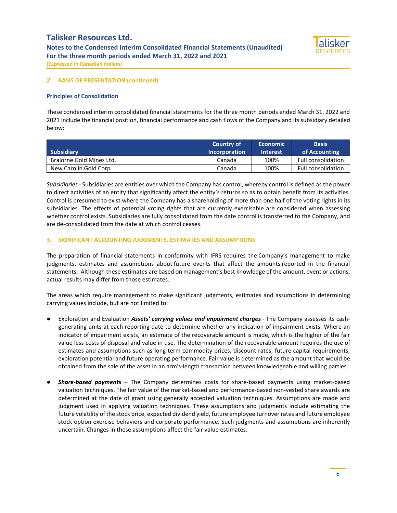

#### **2. BASIS OF PRESENTATION (continued)**

#### **Principles of Consolidation**

These condensed interim consolidated financial statements for the three month periods ended March 31, 2022 and 2021 include the financial position, financial performance and cash flows of the Company and its subsidiary detailed below:

| <b>Subsidiary</b>        | <b>Country of</b><br>Incorporation | <b>Economic</b><br><b>Interest</b> | <b>Basis</b><br>of Accounting |
|--------------------------|------------------------------------|------------------------------------|-------------------------------|
| Bralorne Gold Mines Ltd. | Canada                             | 100%                               | <b>Full consolidation</b>     |
| New Carolin Gold Corp.   | Canada                             | 100%                               | <b>Full consolidation</b>     |

*Subsidiaries -* Subsidiaries are entities over which the Company has control, whereby control is defined as the power to direct activities of an entity that significantly affect the entity's returns so as to obtain benefit from its activities. Control is presumed to exist where the Company has a shareholding of more than one half of the voting rights in its subsidiaries. The effects of potential voting rights that are currently exercisable are considered when assessing whether control exists. Subsidiaries are fully consolidated from the date control is transferred to the Company, and are de-consolidated from the date at which control ceases.

#### **3. SIGNIFICANT ACCOUNTING JUDGMENTS, ESTIMATES AND ASSUMPTIONS**

The preparation of financial statements in conformity with IFRS requires the Company's management to make judgments, estimates and assumptions about future events that affect the amounts reported in the financial statements. Although these estimates are based on management's best knowledge of the amount, event or actions, actual results may differ from those estimates.

The areas which require management to make significant judgments, estimates and assumptions in determining carrying values include, but are not limited to:

- Exploration and Evaluation *Assets' carrying values and impairment charges* The Company assesses its cashgenerating units at each reporting date to determine whether any indication of impairment exists. Where an indicator of impairment exists, an estimate of the recoverable amount is made, which is the higher of the fair value less costs of disposal and value in use. The determination of the recoverable amount requires the use of estimates and assumptions such as long-term commodity prices, discount rates, future capital requirements, exploration potential and future operating performance. Fair value is determined as the amount that would be obtained from the sale of the asset in an arm's-length transaction between knowledgeable and willing parties.
- **Share-based payments** The Company determines costs for share-based payments using market-based valuation techniques. The fair value of the market-based and performance-based non-vested share awards are determined at the date of grant using generally accepted valuation techniques. Assumptions are made and judgment used in applying valuation techniques. These assumptions and judgments include estimating the future volatility of the stock price, expected dividend yield, future employee turnover rates and future employee stock option exercise behaviors and corporate performance. Such judgments and assumptions are inherently uncertain. Changes in these assumptions affect the fair value estimates.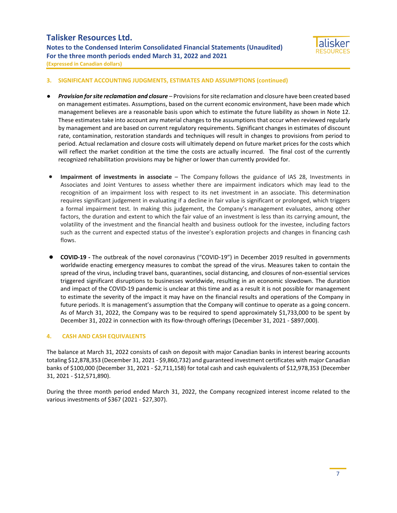

**3. SIGNIFICANT ACCOUNTING JUDGMENTS, ESTIMATES AND ASSUMPTIONS (continued)**

- *Provision for site reclamation and closure*  Provisions for site reclamation and closure have been created based on management estimates. Assumptions, based on the current economic environment, have been made which management believes are a reasonable basis upon which to estimate the future liability as shown in Note 12. These estimates take into account any material changes to the assumptions that occur when reviewed regularly by management and are based on current regulatory requirements. Significant changes in estimates of discount rate, contamination, restoration standards and techniques will result in changes to provisions from period to period. Actual reclamation and closure costs will ultimately depend on future market prices for the costs which will reflect the market condition at the time the costs are actually incurred. The final cost of the currently recognized rehabilitation provisions may be higher or lower than currently provided for.
- **Impairment of investments in associate** The Company follows the guidance of IAS 28, Investments in Associates and Joint Ventures to assess whether there are impairment indicators which may lead to the recognition of an impairment loss with respect to its net investment in an associate. This determination requires significant judgement in evaluating if a decline in fair value is significant or prolonged, which triggers a formal impairment test. In making this judgement, the Company's management evaluates, among other factors, the duration and extent to which the fair value of an investment is less than its carrying amount, the volatility of the investment and the financial health and business outlook for the investee, including factors such as the current and expected status of the investee's exploration projects and changes in financing cash flows.
- **COVID-19 -** The outbreak of the novel coronavirus ("COVID-19") in December 2019 resulted in governments worldwide enacting emergency measures to combat the spread of the virus. Measures taken to contain the spread of the virus, including travel bans, quarantines, social distancing, and closures of non-essential services triggered significant disruptions to businesses worldwide, resulting in an economic slowdown. The duration and impact of the COVID-19 pandemic is unclear at this time and as a result it is not possible for management to estimate the severity of the impact it may have on the financial results and operations of the Company in future periods. It is management's assumption that the Company will continue to operate as a going concern. As of March 31, 2022, the Company was to be required to spend approximately \$1,733,000 to be spent by December 31, 2022 in connection with its flow-through offerings (December 31, 2021 - \$897,000).

#### **4. CASH AND CASH EQUIVALENTS**

The balance at March 31, 2022 consists of cash on deposit with major Canadian banks in interest bearing accounts totaling \$12,878,353 (December 31, 2021 - \$9,860,732) and guaranteed investment certificates with major Canadian banks of \$100,000 (December 31, 2021 - \$2,711,158) for total cash and cash equivalents of \$12,978,353 (December 31, 2021 - \$12,571,890).

During the three month period ended March 31, 2022, the Company recognized interest income related to the various investments of \$367 (2021 - \$27,307).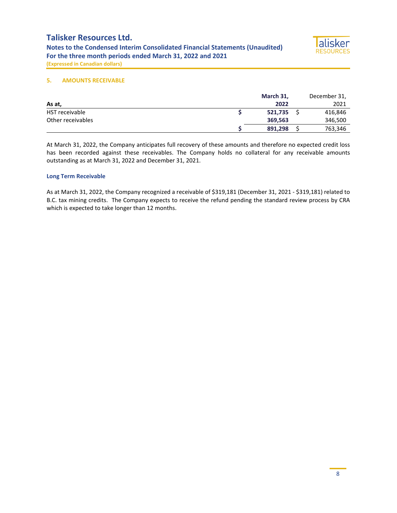

#### **5. AMOUNTS RECEIVABLE**

|                   | March 31, | December 31, |
|-------------------|-----------|--------------|
| As at,            | 2022      | 2021         |
| HST receivable    | 521.735   | 416,846      |
| Other receivables | 369,563   | 346,500      |
|                   | 891,298   | 763,346      |

At March 31, 2022, the Company anticipates full recovery of these amounts and therefore no expected credit loss has been recorded against these receivables. The Company holds no collateral for any receivable amounts outstanding as at March 31, 2022 and December 31, 2021.

#### **Long Term Receivable**

As at March 31, 2022, the Company recognized a receivable of \$319,181 (December 31, 2021 - \$319,181) related to B.C. tax mining credits. The Company expects to receive the refund pending the standard review process by CRA which is expected to take longer than 12 months.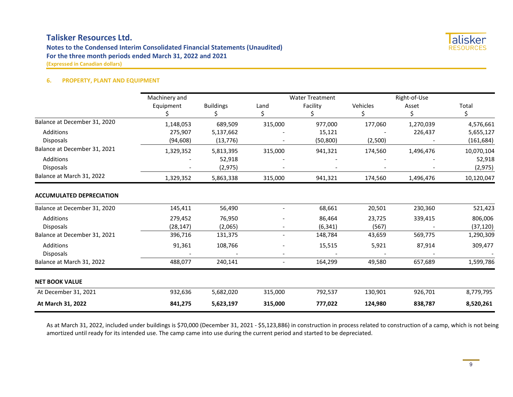# **Talisker Resources Ltd.**



**Notes to the Condensed Interim Consolidated Financial Statements (Unaudited) For the three month periods ended March 31, 2022 and 2021 (Expressed in Canadian dollars)**

#### **6. PROPERTY, PLANT AND EQUIPMENT**

|                                 | Machinery and |                  |                          | <b>Water Treatment</b> |          | Right-of-Use |            |
|---------------------------------|---------------|------------------|--------------------------|------------------------|----------|--------------|------------|
|                                 | Equipment     | <b>Buildings</b> | Land                     | Facility               | Vehicles | Asset        | Total      |
|                                 |               | \$               | \$                       |                        | \$       | \$           | \$         |
| Balance at December 31, 2020    | 1,148,053     | 689,509          | 315,000                  | 977,000                | 177,060  | 1,270,039    | 4,576,661  |
| Additions                       | 275,907       | 5,137,662        |                          | 15,121                 |          | 226,437      | 5,655,127  |
| <b>Disposals</b>                | (94, 608)     | (13, 776)        |                          | (50, 800)              | (2,500)  |              | (161, 684) |
| Balance at December 31, 2021    | 1,329,352     | 5,813,395        | 315,000                  | 941,321                | 174,560  | 1,496,476    | 10,070,104 |
| Additions                       |               | 52,918           |                          |                        |          |              | 52,918     |
| Disposals                       |               | (2, 975)         |                          |                        |          |              | (2, 975)   |
| Balance at March 31, 2022       | 1,329,352     | 5,863,338        | 315,000                  | 941,321                | 174,560  | 1,496,476    | 10,120,047 |
| <b>ACCUMULATED DEPRECIATION</b> |               |                  |                          |                        |          |              |            |
| Balance at December 31, 2020    | 145,411       | 56,490           | $\blacksquare$           | 68,661                 | 20,501   | 230,360      | 521,423    |
| Additions                       | 279,452       | 76,950           |                          | 86,464                 | 23,725   | 339,415      | 806,006    |
| <b>Disposals</b>                | (28, 147)     | (2,065)          | $\overline{\phantom{a}}$ | (6, 341)               | (567)    |              | (37, 120)  |
| Balance at December 31, 2021    | 396,716       | 131,375          |                          | 148,784                | 43,659   | 569,775      | 1,290,309  |
| Additions                       | 91,361        | 108,766          |                          | 15,515                 | 5,921    | 87,914       | 309,477    |
| Disposals                       |               |                  |                          |                        |          |              |            |
| Balance at March 31, 2022       | 488,077       | 240,141          |                          | 164,299                | 49,580   | 657,689      | 1,599,786  |
| <b>NET BOOK VALUE</b>           |               |                  |                          |                        |          |              |            |
| At December 31, 2021            | 932,636       | 5,682,020        | 315,000                  | 792,537                | 130,901  | 926,701      | 8,779,795  |
| At March 31, 2022               | 841,275       | 5,623,197        | 315,000                  | 777,022                | 124,980  | 838,787      | 8,520,261  |

As at March 31, 2022, included under buildings is \$70,000 (December 31, 2021 - \$5,123,886) in construction in process related to construction of a camp, which is not being amortized until ready for its intended use. The camp came into use during the current period and started to be depreciated.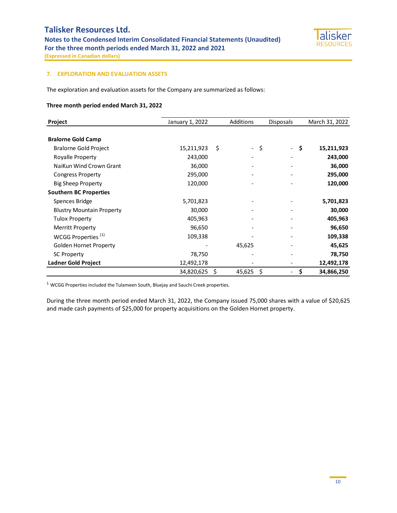

#### **7. EXPLORATION AND EVALUATION ASSETS**

The exploration and evaluation assets for the Company are summarized as follows:

#### **Three month period ended March 31, 2022**

| Project                          | January 1, 2022 |    | Additions        | <b>Disposals</b>               | March 31, 2022 |
|----------------------------------|-----------------|----|------------------|--------------------------------|----------------|
| <b>Bralorne Gold Camp</b>        |                 |    |                  |                                |                |
| <b>Bralorne Gold Project</b>     | 15,211,923      | \$ | \$<br>$\sim 100$ | \$<br>$\sim$                   | 15,211,923     |
| Royalle Property                 | 243,000         |    |                  |                                | 243,000        |
| NaiKun Wind Crown Grant          | 36,000          |    |                  |                                | 36,000         |
| <b>Congress Property</b>         | 295,000         |    |                  |                                | 295,000        |
| <b>Big Sheep Property</b>        | 120,000         |    |                  |                                | 120,000        |
| <b>Southern BC Properties</b>    |                 |    |                  |                                |                |
| Spences Bridge                   | 5,701,823       |    |                  |                                | 5,701,823      |
| <b>Blustry Mountain Property</b> | 30,000          |    |                  |                                | 30,000         |
| <b>Tulox Property</b>            | 405,963         |    |                  |                                | 405,963        |
| <b>Merritt Property</b>          | 96,650          |    |                  |                                | 96,650         |
| WCGG Properties <sup>(1)</sup>   | 109,338         |    |                  |                                | 109,338        |
| Golden Hornet Property           |                 |    | 45,625           |                                | 45,625         |
| <b>SC Property</b>               | 78,750          |    |                  | $\qquad \qquad \blacksquare$   | 78,750         |
| <b>Ladner Gold Project</b>       | 12,492,178      |    |                  |                                | 12,492,178     |
|                                  | 34,820,625      | Ś  | 45,625<br>Ś      | \$<br>$\overline{\phantom{a}}$ | 34,866,250     |

 $1$  WCGG Properties included the Tulameen South, Bluejay and Sauchi Creek properties.

During the three month period ended March 31, 2022, the Company issued 75,000 shares with a value of \$20,625 and made cash payments of \$25,000 for property acquisitions on the Golden Hornet property.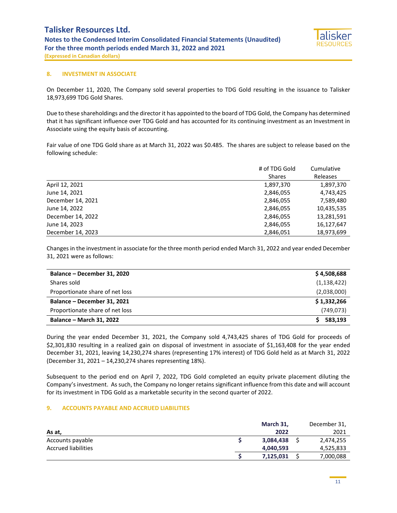# **Talisker Resources Ltd. Notes to the Condensed Interim Consolidated Financial Statements (Unaudited) For the three month periods ended March 31, 2022 and 2021 (Expressed in Canadian dollars)**



#### **8. INVESTMENT IN ASSOCIATE**

On December 11, 2020, The Company sold several properties to TDG Gold resulting in the issuance to Talisker 18,973,699 TDG Gold Shares.

Due to these shareholdings and the director it has appointed to the board of TDG Gold, the Company has determined that it has significant influence over TDG Gold and has accounted for its continuing investment as an Investment in Associate using the equity basis of accounting.

Fair value of one TDG Gold share as at March 31, 2022 was \$0.485. The shares are subject to release based on the following schedule:

|                   | # of TDG Gold | Cumulative |
|-------------------|---------------|------------|
|                   | <b>Shares</b> | Releases   |
| April 12, 2021    | 1,897,370     | 1,897,370  |
| June 14, 2021     | 2,846,055     | 4,743,425  |
| December 14, 2021 | 2,846,055     | 7,589,480  |
| June 14, 2022     | 2,846,055     | 10,435,535 |
| December 14, 2022 | 2,846,055     | 13,281,591 |
| June 14, 2023     | 2,846,055     | 16,127,647 |
| December 14, 2023 | 2,846,051     | 18,973,699 |

Changes in the investment in associate for the three month period ended March 31, 2022 and year ended December 31, 2021 were as follows:

| Balance - December 31, 2020     | \$4,508,688   |
|---------------------------------|---------------|
| Shares sold                     | (1, 138, 422) |
| Proportionate share of net loss | (2,038,000)   |
| Balance - December 31, 2021     | \$1,332,266   |
| Proportionate share of net loss | (749, 073)    |
| <b>Balance - March 31, 2022</b> | 583,193       |

During the year ended December 31, 2021, the Company sold 4,743,425 shares of TDG Gold for proceeds of \$2,301,830 resulting in a realized gain on disposal of investment in associate of \$1,163,408 for the year ended December 31, 2021, leaving 14,230,274 shares (representing 17% interest) of TDG Gold held as at March 31, 2022 (December 31, 2021 – 14,230,274 shares representing 18%).

Subsequent to the period end on April 7, 2022, TDG Gold completed an equity private placement diluting the Company's investment. As such, the Company no longer retains significant influence from this date and will account for its investment in TDG Gold as a marketable security in the second quarter of 2022.

#### **9. ACCOUNTS PAYABLE AND ACCRUED LIABILITIES**

|                            | March 31, | December 31, |
|----------------------------|-----------|--------------|
| As at,                     | 2022      | 2021         |
| Accounts payable           | 3,084,438 | 2,474,255    |
| <b>Accrued liabilities</b> | 4,040,593 | 4,525,833    |
|                            | 7,125,031 | 7,000,088    |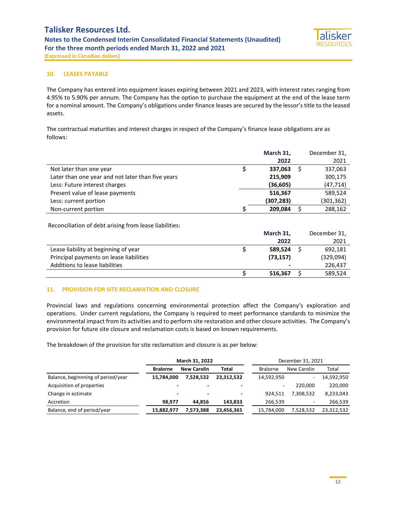

#### **10. LEASES PAYABLE**

The Company has entered into equipment leases expiring between 2021 and 2023, with interest rates ranging from 4.95% to 5.90% per annum. The Company has the option to purchase the equipment at the end of the lease term for a nominal amount. The Company's obligations under finance leases are secured by the lessor's title to the leased assets.

The contractual maturities and interest charges in respect of the Company's finance lease obligations are as follows:

|                                                   | March 31,  | December 31, |
|---------------------------------------------------|------------|--------------|
|                                                   | 2022       | 2021         |
| Not later than one year                           | 337,063    | 337,063      |
| Later than one year and not later than five years | 215,909    | 300,175      |
| Less: Future interest charges                     | (36, 605)  | (47, 714)    |
| Present value of lease payments                   | 516.367    | 589,524      |
| Less: current portion                             | (307, 283) | (301, 362)   |
| Non-current portion                               | 209.084    | 288,162      |

Reconciliation of debt arising from lease liabilities:

|                                         | March 31, | December 31, |
|-----------------------------------------|-----------|--------------|
|                                         | 2022      | 2021         |
| Lease liability at beginning of year    | 589.524   | 692.181      |
| Principal payments on lease liabilities | (73, 157) | (329,094)    |
| Additions to lease liabilities          |           | 226,437      |
|                                         | 516,367   | 589,524      |

#### **11. PROVISION FOR SITE RECLAMATION AND CLOSURE**

Provincial laws and regulations concerning environmental protection affect the Company's exploration and operations. Under current regulations, the Company is required to meet performance standards to minimize the environmental impact from its activities and to perform site restoration and other closure activities. The Company's provision for future site closure and reclamation costs is based on known requirements.

The breakdown of the provision for site reclamation and closure is as per below:

|                                    |                 | March 31, 2022           |            |                 | December 31, 2021 |            |
|------------------------------------|-----------------|--------------------------|------------|-----------------|-------------------|------------|
|                                    | <b>Bralorne</b> | <b>New Carolin</b>       | Total      | <b>Bralorne</b> | New Carolin       | Total      |
| Balance, beginnning of period/year | 15.784.000      | 7.528.532                | 23,312,532 | 14,592,950      | ۰.                | 14,592,950 |
| Acquisition of properties          | ۰               | -                        |            | -               | 220,000           | 220,000    |
| Change in estimate                 | ۰               | $\overline{\phantom{a}}$ | ۰          | 924.511         | 7,308,532         | 8,233,043  |
| Accretion                          | 98.977          | 44.856                   | 143,833    | 266.539         | $\sim$            | 266,539    |
| Balance, end of period/year        | 15.882.977      | 7.573.388                | 23,456,365 | 15,784,000      | 7,528,532         | 23,312,532 |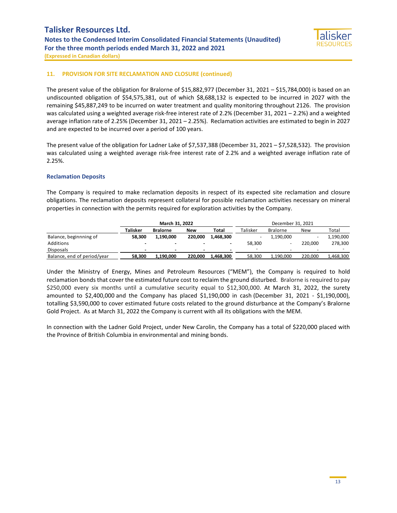

**(Expressed in Canadian dollars)**

#### **11. PROVISION FOR SITE RECLAMATION AND CLOSURE (continued)**

The present value of the obligation for Bralorne of \$15,882,977 (December 31, 2021 – \$15,784,000) is based on an undiscounted obligation of \$54,575,381, out of which \$8,688,132 is expected to be incurred in 2027 with the remaining \$45,887,249 to be incurred on water treatment and quality monitoring throughout 2126. The provision was calculated using a weighted average risk-free interest rate of 2.2% (December 31, 2021 – 2.2%) and a weighted average inflation rate of 2.25% (December 31, 2021 – 2.25%). Reclamation activities are estimated to begin in 2027 and are expected to be incurred over a period of 100 years.

The present value of the obligation for Ladner Lake of \$7,537,388 (December 31, 2021 – \$7,528,532). The provision was calculated using a weighted average risk-free interest rate of 2.2% and a weighted average inflation rate of 2.25%.

#### **Reclamation Deposits**

The Company is required to make reclamation deposits in respect of its expected site reclamation and closure obligations. The reclamation deposits represent collateral for possible reclamation activities necessary on mineral properties in connection with the permits required for exploration activities by the Company.

|                             | March 31, 2022 |                 |         |                |          | December 31, 2021 |          |           |
|-----------------------------|----------------|-----------------|---------|----------------|----------|-------------------|----------|-----------|
|                             | Talisker       | <b>Bralorne</b> | New     | Total          | Talisker | <b>Bralorne</b>   | New      | Total     |
| Balance, beginnning of      | 58.300         | 1.190.000       | 220,000 | 1,468,300      |          | 1,190,000         |          | 1,190,000 |
| Additions                   |                |                 |         | $\blacksquare$ | 58,300   |                   | 220.000  | 278,300   |
| Disposals                   | -              | $\sim$          | $\sim$  | -              |          |                   | <b>-</b> |           |
| Balance, end of period/year | 58.300         | 1.190.000       | 220,000 | 1,468,300      | 58,300   | 1.190.000         | 220.000  | 1,468,300 |

Under the Ministry of Energy, Mines and Petroleum Resources ("MEM"), the Company is required to hold reclamation bonds that cover the estimated future cost to reclaim the ground disturbed. Bralorne is required to pay \$250,000 every six months until a cumulative security equal to \$12,300,000. At March 31, 2022, the surety amounted to \$2,400,000 and the Company has placed \$1,190,000 in cash (December 31, 2021 - \$1,190,000), totalling \$3,590,000 to cover estimated future costs related to the ground disturbance at the Company's Bralorne Gold Project. As at March 31, 2022 the Company is current with all its obligations with the MEM.

In connection with the Ladner Gold Project, under New Carolin, the Company has a total of \$220,000 placed with the Province of British Columbia in environmental and mining bonds.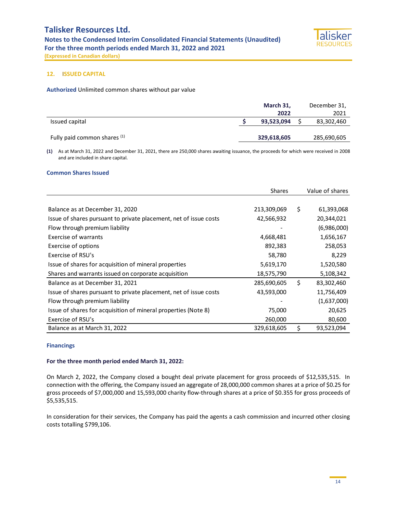# **Talisker Resources Ltd. Notes to the Condensed Interim Consolidated Financial Statements (Unaudited) For the three month periods ended March 31, 2022 and 2021**



**(Expressed in Canadian dollars)**

#### **12. ISSUED CAPITAL**

**Authorized** Unlimited common shares without par value

|                              | March 31,   | December 31, |
|------------------------------|-------------|--------------|
|                              | 2022        | 2021         |
| Issued capital               | 93,523,094  | 83,302,460   |
|                              |             |              |
| Fully paid common shares (1) | 329,618,605 | 285,690,605  |

**(1)** As at March 31, 2022 and December 31, 2021, there are 250,000 shares awaiting issuance, the proceeds for which were received in 2008 and are included in share capital.

#### **Common Shares Issued**

|                                                                   | <b>Shares</b> | Value of shares  |
|-------------------------------------------------------------------|---------------|------------------|
|                                                                   |               |                  |
| Balance as at December 31, 2020                                   | 213,309,069   | \$<br>61,393,068 |
| Issue of shares pursuant to private placement, net of issue costs | 42,566,932    | 20,344,021       |
| Flow through premium liability                                    |               | (6,986,000)      |
| Exercise of warrants                                              | 4,668,481     | 1,656,167        |
| Exercise of options                                               | 892,383       | 258,053          |
| Exercise of RSU's                                                 | 58,780        | 8,229            |
| Issue of shares for acquisition of mineral properties             | 5,619,170     | 1,520,580        |
| Shares and warrants issued on corporate acquisition               | 18,575,790    | 5,108,342        |
| Balance as at December 31, 2021                                   | 285,690,605   | \$<br>83,302,460 |
| Issue of shares pursuant to private placement, net of issue costs | 43,593,000    | 11,756,409       |
| Flow through premium liability                                    |               | (1,637,000)      |
| Issue of shares for acquisition of mineral properties (Note 8)    | 75,000        | 20,625           |
| Exercise of RSU's                                                 | 260,000       | 80,600           |
| Balance as at March 31, 2022                                      | 329,618,605   | \$<br>93,523,094 |

#### **Financings**

#### **For the three month period ended March 31, 2022:**

On March 2, 2022, the Company closed a bought deal private placement for gross proceeds of \$12,535,515. In connection with the offering, the Company issued an aggregate of 28,000,000 common shares at a price of \$0.25 for gross proceeds of \$7,000,000 and 15,593,000 charity flow-through shares at a price of \$0.355 for gross proceeds of \$5,535,515.

In consideration for their services, the Company has paid the agents a cash commission and incurred other closing costs totalling \$799,106.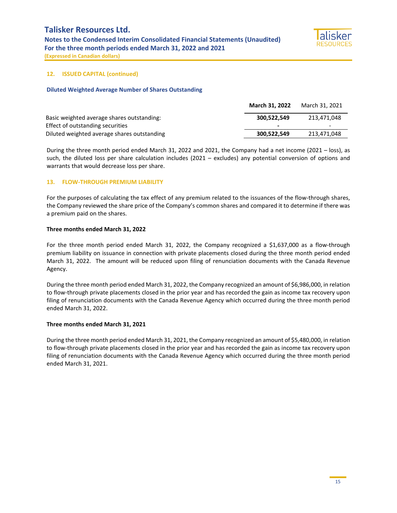# **Talisker Resources Ltd. Notes to the Condensed Interim Consolidated Financial Statements (Unaudited) For the three month periods ended March 31, 2022 and 2021**



**(Expressed in Canadian dollars)**

#### **12. ISSUED CAPITAL (continued)**

#### **Diluted Weighted Average Number of Shares Outstanding**

|                                             | <b>March 31, 2022</b> | March 31, 2021 |
|---------------------------------------------|-----------------------|----------------|
| Basic weighted average shares outstanding:  | 300.522.549           | 213.471.048    |
| Effect of outstanding securities            |                       | -              |
| Diluted weighted average shares outstanding | 300.522.549           | 213,471,048    |

During the three month period ended March 31, 2022 and 2021, the Company had a net income (2021 – loss), as such, the diluted loss per share calculation includes (2021 – excludes) any potential conversion of options and warrants that would decrease loss per share.

#### **13. FLOW-THROUGH PREMIUM LIABILITY**

For the purposes of calculating the tax effect of any premium related to the issuances of the flow-through shares, the Company reviewed the share price of the Company's common shares and compared it to determine if there was a premium paid on the shares.

#### **Three months ended March 31, 2022**

For the three month period ended March 31, 2022, the Company recognized a \$1,637,000 as a flow-through premium liability on issuance in connection with private placements closed during the three month period ended March 31, 2022. The amount will be reduced upon filing of renunciation documents with the Canada Revenue Agency.

During the three month period ended March 31, 2022, the Company recognized an amount of \$6,986,000, in relation to flow-through private placements closed in the prior year and has recorded the gain as income tax recovery upon filing of renunciation documents with the Canada Revenue Agency which occurred during the three month period ended March 31, 2022.

#### **Three months ended March 31, 2021**

During the three month period ended March 31, 2021, the Company recognized an amount of \$5,480,000, in relation to flow-through private placements closed in the prior year and has recorded the gain as income tax recovery upon filing of renunciation documents with the Canada Revenue Agency which occurred during the three month period ended March 31, 2021.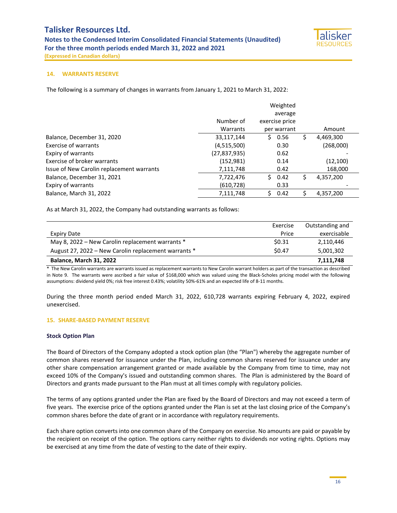# **Talisker Resources Ltd. Notes to the Condensed Interim Consolidated Financial Statements (Unaudited) For the three month periods ended March 31, 2022 and 2021**



**(Expressed in Canadian dollars)**

#### **14. WARRANTS RESERVE**

The following is a summary of changes in warrants from January 1, 2021 to March 31, 2022:

|                                           |                       | Weighted<br>average           |    |           |
|-------------------------------------------|-----------------------|-------------------------------|----|-----------|
|                                           | Number of<br>Warrants | exercise price<br>per warrant |    | Amount    |
| Balance, December 31, 2020                | 33,117,144            | Ś.<br>0.56                    | S. | 4,469,300 |
| Exercise of warrants                      | (4,515,500)           | 0.30                          |    | (268,000) |
| Expiry of warrants                        | (27,837,935)          | 0.62                          |    |           |
| Exercise of broker warrants               | (152, 981)            | 0.14                          |    | (12, 100) |
| Issue of New Carolin replacement warrants | 7,111,748             | 0.42                          |    | 168,000   |
| Balance, December 31, 2021                | 7,722,476             | Ś.<br>0.42                    | S. | 4,357,200 |
| Expiry of warrants                        | (610,728)             | 0.33                          |    |           |
| Balance, March 31, 2022                   | 7,111,748             | 0.42<br>Ś.                    |    | 4,357,200 |

As at March 31, 2022, the Company had outstanding warrants as follows:

|                                                      | Exercise | Outstanding and |
|------------------------------------------------------|----------|-----------------|
| Expiry Date                                          | Price    | exercisable     |
| May 8, 2022 - New Carolin replacement warrants *     | \$0.31   | 2,110,446       |
| August 27, 2022 - New Carolin replacement warrants * | \$0.47   | 5,001,302       |
| <b>Balance, March 31, 2022</b>                       |          | 7,111,748       |

\* The New Carolin warrants are warrants issued as replacement warrants to New Carolin warrant holders as part of the transaction as described in Note 9. The warrants were ascribed a fair value of \$168,000 which was valued using the Black-Scholes pricing model with the following assumptions: dividend yield 0%; risk free interest 0.43%; volatility 50%-61% and an expected life of 8-11 months.

During the three month period ended March 31, 2022, 610,728 warrants expiring February 4, 2022, expired unexercised.

#### **15. SHARE-BASED PAYMENT RESERVE**

#### **Stock Option Plan**

The Board of Directors of the Company adopted a stock option plan (the "Plan") whereby the aggregate number of common shares reserved for issuance under the Plan, including common shares reserved for issuance under any other share compensation arrangement granted or made available by the Company from time to time, may not exceed 10% of the Company's issued and outstanding common shares. The Plan is administered by the Board of Directors and grants made pursuant to the Plan must at all times comply with regulatory policies.

The terms of any options granted under the Plan are fixed by the Board of Directors and may not exceed a term of five years. The exercise price of the options granted under the Plan is set at the last closing price of the Company's common shares before the date of grant or in accordance with regulatory requirements.

Each share option converts into one common share of the Company on exercise. No amounts are paid or payable by the recipient on receipt of the option. The options carry neither rights to dividends nor voting rights. Options may be exercised at any time from the date of vesting to the date of their expiry.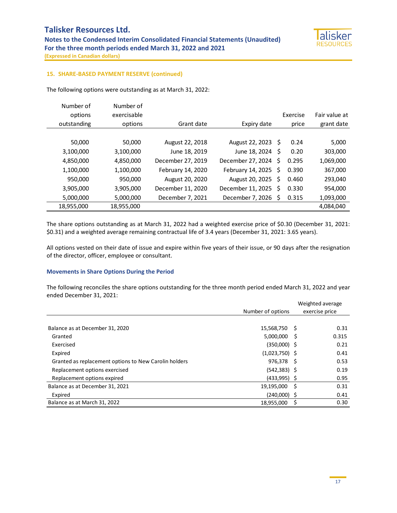

**15. SHARE-BASED PAYMENT RESERVE (continued)**

The following options were outstanding as at March 31, 2022:

| Number of   | Number of   |                   |                   |    |          |               |
|-------------|-------------|-------------------|-------------------|----|----------|---------------|
| options     | exercisable |                   |                   |    | Exercise | Fair value at |
| outstanding | options     | Grant date        | Expiry date       |    | price    | grant date    |
|             |             |                   |                   |    |          |               |
| 50,000      | 50,000      | August 22, 2018   | August 22, 2023   | S  | 0.24     | 5,000         |
| 3,100,000   | 3,100,000   | June 18, 2019     | June 18, 2024     | Ŝ  | 0.20     | 303,000       |
| 4,850,000   | 4,850,000   | December 27, 2019 | December 27, 2024 | S. | 0.295    | 1,069,000     |
| 1,100,000   | 1,100,000   | February 14, 2020 | February 14, 2025 | Ś  | 0.390    | 367,000       |
| 950,000     | 950,000     | August 20, 2020   | August 20, 2025   | \$ | 0.460    | 293,040       |
| 3,905,000   | 3,905,000   | December 11, 2020 | December 11, 2025 | Ŝ  | 0.330    | 954,000       |
| 5,000,000   | 5,000,000   | December 7, 2021  | December 7, 2026  | S  | 0.315    | 1,093,000     |
| 18,955,000  | 18,955,000  |                   |                   |    |          | 4.084.040     |

The share options outstanding as at March 31, 2022 had a weighted exercise price of \$0.30 (December 31, 2021: \$0.31) and a weighted average remaining contractual life of 3.4 years (December 31, 2021: 3.65 years).

All options vested on their date of issue and expire within five years of their issue, or 90 days after the resignation of the director, officer, employee or consultant.

#### **Movements in Share Options During the Period**

The following reconciles the share options outstanding for the three month period ended March 31, 2022 and year ended December 31, 2021:

|                                                       |                   | Weighted average |
|-------------------------------------------------------|-------------------|------------------|
|                                                       | Number of options | exercise price   |
|                                                       |                   |                  |
| Balance as at December 31, 2020                       | 15,568,750 \$     | 0.31             |
| Granted                                               | 5,000,000         | 0.315            |
| Exercised                                             | $(350,000)$ \$    | 0.21             |
| Expired                                               | $(1,023,750)$ \$  | 0.41             |
| Granted as replacement options to New Carolin holders | $976,378$ \$      | 0.53             |
| Replacement options exercised                         | $(542, 383)$ \$   | 0.19             |
| Replacement options expired                           | $(433,995)$ \$    | 0.95             |
| Balance as at December 31, 2021                       | 19,195,000 \$     | 0.31             |
| Expired                                               | $(240,000)$ \$    | 0.41             |
| Balance as at March 31, 2022                          | 18,955,000        | 0.30             |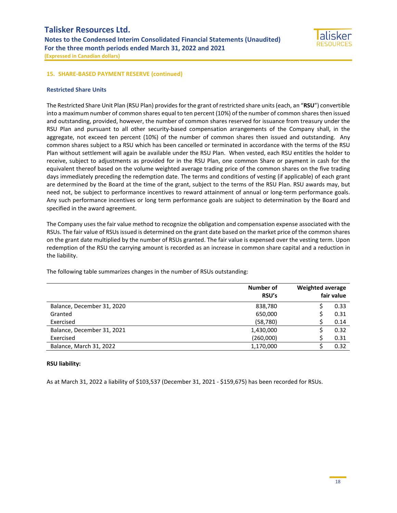

#### **15. SHARE-BASED PAYMENT RESERVE (continued)**

#### **Restricted Share Units**

The Restricted Share Unit Plan (RSU Plan) provides for the grant of restricted share units (each, an "**RSU**") convertible into a maximum number of common shares equal to ten percent (10%) of the number of common shares then issued and outstanding, provided, however, the number of common shares reserved for issuance from treasury under the RSU Plan and pursuant to all other security-based compensation arrangements of the Company shall, in the aggregate, not exceed ten percent (10%) of the number of common shares then issued and outstanding. Any common shares subject to a RSU which has been cancelled or terminated in accordance with the terms of the RSU Plan without settlement will again be available under the RSU Plan. When vested, each RSU entitles the holder to receive, subject to adjustments as provided for in the RSU Plan, one common Share or payment in cash for the equivalent thereof based on the volume weighted average trading price of the common shares on the five trading days immediately preceding the redemption date. The terms and conditions of vesting (if applicable) of each grant are determined by the Board at the time of the grant, subject to the terms of the RSU Plan. RSU awards may, but need not, be subject to performance incentives to reward attainment of annual or long-term performance goals. Any such performance incentives or long term performance goals are subject to determination by the Board and specified in the award agreement.

The Company uses the fair value method to recognize the obligation and compensation expense associated with the RSUs. The fair value of RSUs issued is determined on the grant date based on the market price of the common shares on the grant date multiplied by the number of RSUs granted. The fair value is expensed over the vesting term. Upon redemption of the RSU the carrying amount is recorded as an increase in common share capital and a reduction in the liability.

The following table summarizes changes in the number of RSUs outstanding:

|                            | Number of<br>RSU's | <b>Weighted average</b><br>fair value |
|----------------------------|--------------------|---------------------------------------|
| Balance, December 31, 2020 | 838,780            | 0.33                                  |
| Granted                    | 650,000            | 0.31                                  |
| Exercised                  | (58, 780)          | 0.14                                  |
| Balance, December 31, 2021 | 1,430,000          | 0.32                                  |
| Exercised                  | (260,000)          | 0.31                                  |
| Balance, March 31, 2022    | 1,170,000          | 0.32                                  |

#### **RSU liability:**

As at March 31, 2022 a liability of \$103,537 (December 31, 2021 - \$159,675) has been recorded for RSUs.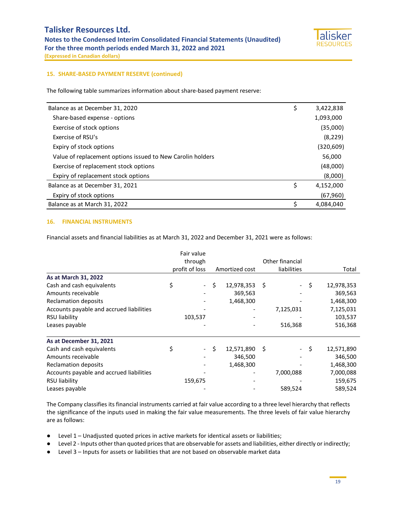

## **15. SHARE-BASED PAYMENT RESERVE (continued)**

The following table summarizes information about share-based payment reserve:

| Balance as at December 31, 2020                            | \$<br>3,422,838 |
|------------------------------------------------------------|-----------------|
| Share-based expense - options                              | 1,093,000       |
| Exercise of stock options                                  | (35,000)        |
| Exercise of RSU's                                          | (8, 229)        |
| Expiry of stock options                                    | (320, 609)      |
| Value of replacement options issued to New Carolin holders | 56,000          |
| Exercise of replacement stock options                      | (48,000)        |
| Expiry of replacement stock options                        | (8,000)         |
| Balance as at December 31, 2021                            | \$<br>4,152,000 |
| Expiry of stock options                                    | (67, 960)       |
| Balance as at March 31, 2022                               | \$<br>4,084,040 |

#### **16. FINANCIAL INSTRUMENTS**

Financial assets and financial liabilities as at March 31, 2022 and December 31, 2021 were as follows:

|                                          | Fair value     |                  |     |                 |                  |
|------------------------------------------|----------------|------------------|-----|-----------------|------------------|
|                                          | through        |                  |     | Other financial |                  |
|                                          | profit of loss | Amortized cost   |     | liabilities     | Total            |
| As at March 31, 2022                     |                |                  |     |                 |                  |
| Cash and cash equivalents                | \$             | \$<br>12,978,353 | -\$ | $\sim$          | \$<br>12,978,353 |
| Amounts receivable                       |                | 369,563          |     |                 | 369,563          |
| <b>Reclamation deposits</b>              |                | 1,468,300        |     |                 | 1,468,300        |
| Accounts payable and accrued liabilities |                |                  |     | 7,125,031       | 7,125,031        |
| RSU liability                            | 103,537        |                  |     |                 | 103,537          |
| Leases payable                           |                |                  |     | 516,368         | 516,368          |
| As at December 31, 2021                  |                |                  |     |                 |                  |
| Cash and cash equivalents                | \$             | \$<br>12,571,890 | -\$ | $\sim 10$       | \$<br>12,571,890 |
| Amounts receivable                       |                | 346,500          |     |                 | 346,500          |
| Reclamation deposits                     |                | 1,468,300        |     |                 | 1,468,300        |
| Accounts payable and accrued liabilities |                |                  |     | 7,000,088       | 7,000,088        |
| RSU liability                            | 159,675        |                  |     |                 | 159,675          |
| Leases payable                           |                |                  |     | 589,524         | 589,524          |

The Company classifies its financial instruments carried at fair value according to a three level hierarchy that reflects the significance of the inputs used in making the fair value measurements. The three levels of fair value hierarchy are as follows:

- Level 1 Unadjusted quoted prices in active markets for identical assets or liabilities;
- Level 2 Inputs other than quoted prices that are observable for assets and liabilities, either directly or indirectly;
- Level 3 Inputs for assets or liabilities that are not based on observable market data